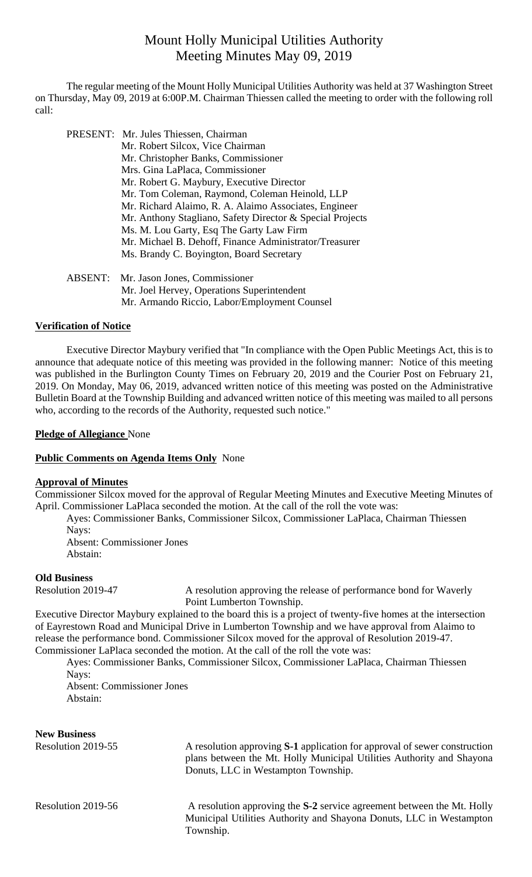# Mount Holly Municipal Utilities Authority Meeting Minutes May 09, 2019

 The regular meeting of the Mount Holly Municipal Utilities Authority was held at 37 Washington Street on Thursday, May 09, 2019 at 6:00P.M. Chairman Thiessen called the meeting to order with the following roll call:

| PRESENT: Mr. Jules Thiessen, Chairman                     |
|-----------------------------------------------------------|
| Mr. Robert Silcox, Vice Chairman                          |
| Mr. Christopher Banks, Commissioner                       |
| Mrs. Gina LaPlaca, Commissioner                           |
| Mr. Robert G. Maybury, Executive Director                 |
| Mr. Tom Coleman, Raymond, Coleman Heinold, LLP            |
| Mr. Richard Alaimo, R. A. Alaimo Associates, Engineer     |
| Mr. Anthony Stagliano, Safety Director & Special Projects |
| Ms. M. Lou Garty, Esq The Garty Law Firm                  |
| Mr. Michael B. Dehoff, Finance Administrator/Treasurer    |
| Ms. Brandy C. Boyington, Board Secretary                  |
| ABSENT: Mr. Jason Jones, Commissioner                     |
| Mr. Joel Hervey, Operations Superintendent                |

## Mr. Armando Riccio, Labor/Employment Counsel

### **Verification of Notice**

Executive Director Maybury verified that "In compliance with the Open Public Meetings Act, this is to announce that adequate notice of this meeting was provided in the following manner: Notice of this meeting was published in the Burlington County Times on February 20, 2019 and the Courier Post on February 21, 2019. On Monday, May 06, 2019, advanced written notice of this meeting was posted on the Administrative Bulletin Board at the Township Building and advanced written notice of this meeting was mailed to all persons who, according to the records of the Authority, requested such notice."

#### **Pledge of Allegiance** None

#### **Public Comments on Agenda Items Only** None

#### **Approval of Minutes**

Commissioner Silcox moved for the approval of Regular Meeting Minutes and Executive Meeting Minutes of April. Commissioner LaPlaca seconded the motion. At the call of the roll the vote was:

Ayes: Commissioner Banks, Commissioner Silcox, Commissioner LaPlaca, Chairman Thiessen Navs:

Absent: Commissioner Jones Abstain:

#### **Old Business**

Resolution 2019-47 A resolution approving the release of performance bond for Waverly Point Lumberton Township.

Executive Director Maybury explained to the board this is a project of twenty-five homes at the intersection of Eayrestown Road and Municipal Drive in Lumberton Township and we have approval from Alaimo to release the performance bond. Commissioner Silcox moved for the approval of Resolution 2019-47. Commissioner LaPlaca seconded the motion. At the call of the roll the vote was:

Ayes: Commissioner Banks, Commissioner Silcox, Commissioner LaPlaca, Chairman Thiessen Nays:

Absent: Commissioner Jones Abstain:

| <b>New Business</b><br>Resolution 2019-55 | A resolution approving S-1 application for approval of sewer construction<br>plans between the Mt. Holly Municipal Utilities Authority and Shayona<br>Donuts, LLC in Westampton Township. |
|-------------------------------------------|-------------------------------------------------------------------------------------------------------------------------------------------------------------------------------------------|
| Resolution 2019-56                        | A resolution approving the S-2 service agreement between the Mt. Holly<br>Municipal Utilities Authority and Shayona Donuts, LLC in Westampton<br>Township.                                |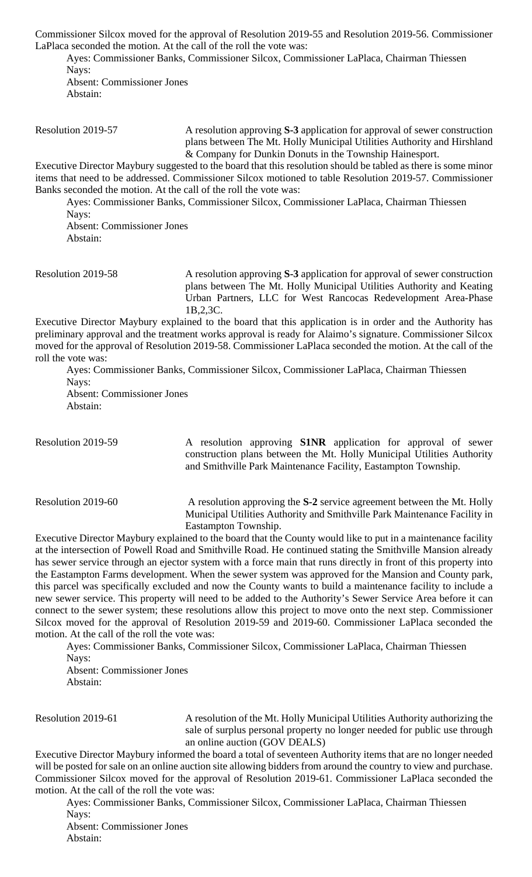Commissioner Silcox moved for the approval of Resolution 2019-55 and Resolution 2019-56. Commissioner LaPlaca seconded the motion. At the call of the roll the vote was:

Ayes: Commissioner Banks, Commissioner Silcox, Commissioner LaPlaca, Chairman Thiessen Nays: Absent: Commissioner Jones Abstain:

Resolution 2019-57 A resolution approving **S-3** application for approval of sewer construction plans between The Mt. Holly Municipal Utilities Authority and Hirshland & Company for Dunkin Donuts in the Township Hainesport.

Executive Director Maybury suggested to the board that this resolution should be tabled as there is some minor items that need to be addressed. Commissioner Silcox motioned to table Resolution 2019-57. Commissioner Banks seconded the motion. At the call of the roll the vote was:

Ayes: Commissioner Banks, Commissioner Silcox, Commissioner LaPlaca, Chairman Thiessen Nays:

Absent: Commissioner Jones Abstain:

Resolution 2019-58 A resolution approving **S-3** application for approval of sewer construction plans between The Mt. Holly Municipal Utilities Authority and Keating Urban Partners, LLC for West Rancocas Redevelopment Area-Phase 1B,2,3C.

Executive Director Maybury explained to the board that this application is in order and the Authority has preliminary approval and the treatment works approval is ready for Alaimo's signature. Commissioner Silcox moved for the approval of Resolution 2019-58. Commissioner LaPlaca seconded the motion. At the call of the roll the vote was:

Ayes: Commissioner Banks, Commissioner Silcox, Commissioner LaPlaca, Chairman Thiessen Nays: Absent: Commissioner Jones

Abstain:

Resolution 2019-59 A resolution approving **S1NR** application for approval of sewer construction plans between the Mt. Holly Municipal Utilities Authority and Smithville Park Maintenance Facility, Eastampton Township.

Resolution 2019-60 A resolution approving the **S-2** service agreement between the Mt. Holly Municipal Utilities Authority and Smithville Park Maintenance Facility in Eastampton Township.

Executive Director Maybury explained to the board that the County would like to put in a maintenance facility at the intersection of Powell Road and Smithville Road. He continued stating the Smithville Mansion already has sewer service through an ejector system with a force main that runs directly in front of this property into the Eastampton Farms development. When the sewer system was approved for the Mansion and County park, this parcel was specifically excluded and now the County wants to build a maintenance facility to include a new sewer service. This property will need to be added to the Authority's Sewer Service Area before it can connect to the sewer system; these resolutions allow this project to move onto the next step. Commissioner Silcox moved for the approval of Resolution 2019-59 and 2019-60. Commissioner LaPlaca seconded the motion. At the call of the roll the vote was:

Ayes: Commissioner Banks, Commissioner Silcox, Commissioner LaPlaca, Chairman Thiessen Navs:

Absent: Commissioner Jones Abstain:

Resolution 2019-61 A resolution of the Mt. Holly Municipal Utilities Authority authorizing the sale of surplus personal property no longer needed for public use through an online auction (GOV DEALS)

Executive Director Maybury informed the board a total of seventeen Authority items that are no longer needed will be posted for sale on an online auction site allowing bidders from around the country to view and purchase. Commissioner Silcox moved for the approval of Resolution 2019-61. Commissioner LaPlaca seconded the motion. At the call of the roll the vote was:

Ayes: Commissioner Banks, Commissioner Silcox, Commissioner LaPlaca, Chairman Thiessen Nays:

Absent: Commissioner Jones Abstain: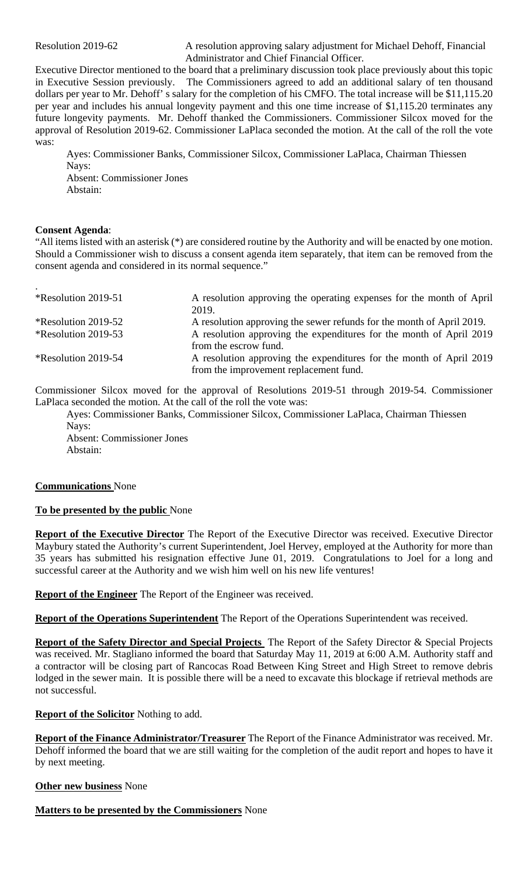Resolution 2019-62 A resolution approving salary adjustment for Michael Dehoff, Financial Administrator and Chief Financial Officer.

Executive Director mentioned to the board that a preliminary discussion took place previously about this topic in Executive Session previously. The Commissioners agreed to add an additional salary of ten thousand dollars per year to Mr. Dehoff' s salary for the completion of his CMFO. The total increase will be \$11,115.20 per year and includes his annual longevity payment and this one time increase of \$1,115.20 terminates any future longevity payments. Mr. Dehoff thanked the Commissioners. Commissioner Silcox moved for the approval of Resolution 2019-62. Commissioner LaPlaca seconded the motion. At the call of the roll the vote was:

Ayes: Commissioner Banks, Commissioner Silcox, Commissioner LaPlaca, Chairman Thiessen Navs: Absent: Commissioner Jones Abstain:

#### **Consent Agenda**:

"All items listed with an asterisk (\*) are considered routine by the Authority and will be enacted by one motion. Should a Commissioner wish to discuss a consent agenda item separately, that item can be removed from the consent agenda and considered in its normal sequence."

| *Resolution 2019-51 | A resolution approving the operating expenses for the month of April  |
|---------------------|-----------------------------------------------------------------------|
|                     | 2019.                                                                 |
| *Resolution 2019-52 | A resolution approving the sewer refunds for the month of April 2019. |
| *Resolution 2019-53 | A resolution approving the expenditures for the month of April 2019   |
|                     | from the escrow fund.                                                 |
| *Resolution 2019-54 | A resolution approving the expenditures for the month of April 2019   |
|                     | from the improvement replacement fund.                                |

Commissioner Silcox moved for the approval of Resolutions 2019-51 through 2019-54. Commissioner LaPlaca seconded the motion. At the call of the roll the vote was:

Ayes: Commissioner Banks, Commissioner Silcox, Commissioner LaPlaca, Chairman Thiessen Nays:

Absent: Commissioner Jones Abstain:

#### **Communications** None

**To be presented by the public** None

**Report of the Executive Director** The Report of the Executive Director was received. Executive Director Maybury stated the Authority's current Superintendent, Joel Hervey, employed at the Authority for more than 35 years has submitted his resignation effective June 01, 2019. Congratulations to Joel for a long and successful career at the Authority and we wish him well on his new life ventures!

**Report of the Engineer** The Report of the Engineer was received.

**Report of the Operations Superintendent** The Report of the Operations Superintendent was received.

**Report of the Safety Director and Special Projects** The Report of the Safety Director & Special Projects was received. Mr. Stagliano informed the board that Saturday May 11, 2019 at 6:00 A.M. Authority staff and a contractor will be closing part of Rancocas Road Between King Street and High Street to remove debris lodged in the sewer main. It is possible there will be a need to excavate this blockage if retrieval methods are not successful.

**Report of the Solicitor** Nothing to add.

**Report of the Finance Administrator/Treasurer** The Report of the Finance Administrator was received. Mr. Dehoff informed the board that we are still waiting for the completion of the audit report and hopes to have it by next meeting.

#### **Other new business** None

**Matters to be presented by the Commissioners** None